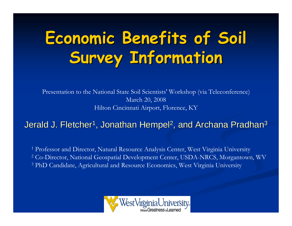# **Economic Benefits of Soil Economic Benefits of Soil Survey Information Survey Information**

Presentation to the National State Soil Scientists' Workshop (via Teleconference) March 20, 2008 Hilton Cincinnati Airport, Florence, KY

#### Jerald J. Fletcher $^{\mathsf{1}}$ , Jonathan Hempel $^{\mathsf{2}}$ , and Archana Pradhan $^{\mathsf{3}}$

<sup>1</sup> Professor and Director, Natural Resource Analysis Center, West Virginia University 2 Co-Director, National Geospatial Development Center, USDA-NRCS, Morgantown, WV <sup>3</sup> PhD Candidate, Agricultural and Resource Economics, West Virginia University

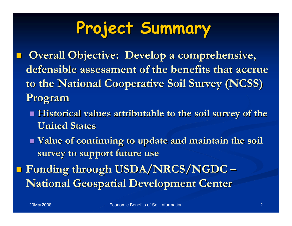# **Project Summary Project Summary**

- **Overall Objective: Develop a comprehensive,** defensible assessment of the benefits that accrue **to the National Cooperative Soil Survey (NCSS) to the National Cooperative Soil Survey (NCSS) Program Program**
	- **Historical values attributable to the soil survey of the United States United States**
	- **Value of continuing to update and maintain the soil Value of continuing to update and maintain the soil survey to support future use survey to support future use**
- Funding through USDA/NRCS/NGDC **National Geospatial Development Center National Geospatial Development Center**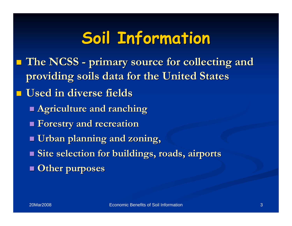## **Soil Information Soil Information**

- **The NCSS The NCSS - primary source for collecting and primary source for collecting and providing soils data for the United States providing soils data for the United States**
- **Used in diverse fields Used in diverse fields**
	- **Agriculture and ranching Agriculture and ranching**
	- **Forestry and recreation Forestry and recreation**
	- **Urban planning and zoning,**
	- **Site selection for buildings, roads, airports Other purposes Other purposes**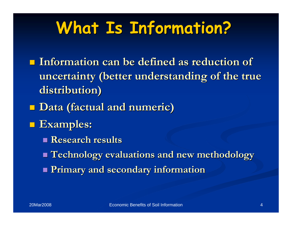## **What Is Information? What Is Information?**

- **Information can be defined as reduction of** uncertainty (better understanding of the true **distribution) distribution)**
- **Data (factual and numeric) Data (factual and numeric)**
- **Examples: Examples:** 
	- **Research results Research results**
	- **Technology evaluations and new methodology Technology evaluations and new methodology**
	- **Primary and secondary information Primary and secondary information**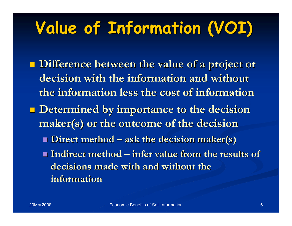# **Value of Information (VOI) Value of Information (VOI)**

 **Difference between the value of a project or Difference between the value of a project or**  decision with the information and without **the information less the cost of information the information less the cost of information<u>Determined by importance to the decision</u> maker(s maker(s) or the outcome of the decision ) or the outcome of the decision**  $\blacksquare$  **Direct method – ask the decision maker(s) Indirect method – infer value from the results of** decisions made with and without the **information information**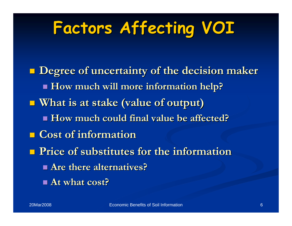# **Factors Affecting VOI Factors Affecting VOI**

 **Degree of uncertainty of the decision maker Degree of uncertainty of the decision maker How much will more information help? How much will more information help? What is at stake (value of output) What is at stake (value of output) How much could final value be affected? How much could final value be affected? Cost of information Cost of information Price of substitutes for the information Price of substitutes for the information Are there alternatives? Are there alternatives?At what cost? At what cost?**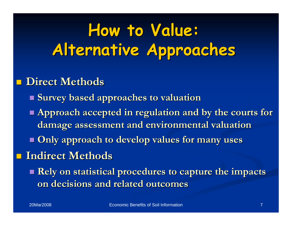# **How to Value: How to Value: Alternative Approaches Alternative Approaches**

#### **Direct Methods Direct Methods**

- **Survey based approaches to valuation Survey based approaches to valuation**
- Approach accepted in regulation and by the courts for **damage assessment and environmental valuation damage assessment and environmental valuation**
- **Only approach to develop values for many uses Only approach to develop values for many uses**

#### **Indirect Methods Indirect Methods**

■ Rely on statistical procedures to capture the impacts **on decisions and related outcomes on decisions and related outcomes**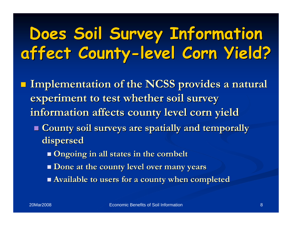# **Does Soil Survey Information Does Soil Survey Information affect County affect County-level Corn Yield? level Corn Yield?**

- **Implementation of the NCSS provides a natural experiment to test whether soil survey information affects county level corn yield information affects county level corn yield**
	- **County soil surveys are spatially and temporally County soil surveys are spatially and temporally dispersed dispersed**
		- **Ongoing in all states in the Ongoing in all states in the cornbelt cornbelt**
		- **Done at the county level over many years Done at the county level over many years**
		- **Available to users for a county when completed Available to users for a county when completed**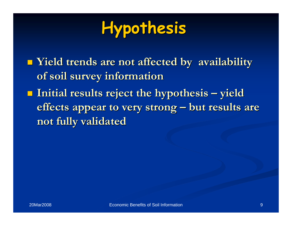# **Hypothesis Hypothesis**

 **Yield trends are not affected by availability Yield trends are not affected by availability of soil survey information of soil survey information Initial results reject the hypothesis – yield effects appear to very strong – but results are not fully validated not fully validated**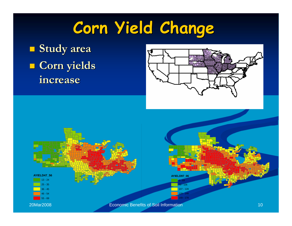# **Corn Yield Change Corn Yield Change**

 **Study area Study area L** Corn yields **increase increase**





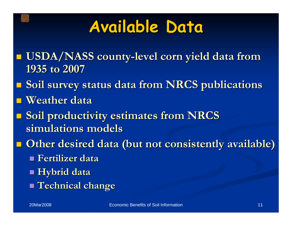#### **Available Data Available Data**

- **USDA/NASS county USDA/NASS county-level corn yield data from level corn yield data from 1935 to 2007 1935 to 2007**
- **Soil survey status data from NRCS publications Soil survey status data from NRCS publications**
- **Weather data Weather data**
- **Soil productivity estimates from NRCS simulations models simulations models**
- **Other desired data (but not consistently available) Other desired data (but not consistently available)**
	- **Fertilizer data Fertilizer data**
	- **Hybrid data Hybrid data**
	- **Technical change Technical change**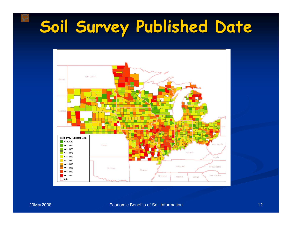## **Soil Survey Published Date Soil Survey Published Date**

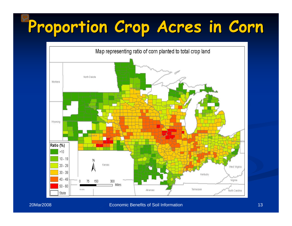## **Proportion Crop Acres in Corn Proportion Crop Acres in Corn**



#### Economic Benefits of Soil Information 13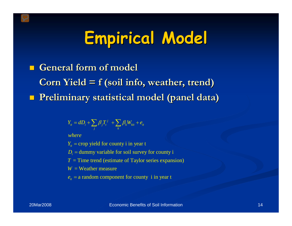# **Empirical Model Empirical Model**

 **General form of model General form of model Corn Yield = f (soil info, weather, trend) Corn Yield = f (soil info, weather, trend) Preliminary statistical model (panel data) Preliminary statistical model (panel data)**

$$
Y_{it} = dD_i + \sum_j \beta_j T_i^j + \sum_k \beta_k W_{kit} + e_{it}
$$

*where*

 $Y_{it}$  = crop yield for county i in year t

 $D_i$  = dummy variable for soil survey for county i

= Time trend (estimate of Taylor series expansion) *T*

 $W = \mathrm{Weather}\ \mathrm{measure}$ 

 $e_{it}$  = a random component for county i in year t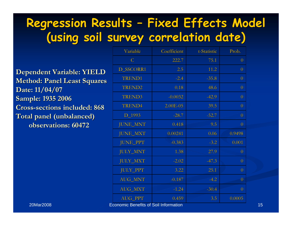#### **Regression Results - Fixed Effects Model (using soil survey correlation date) (using soil survey correlation date)**

**Dependent Variable: YIELD Dependent Variable: YIELD Method: Panel Least Squares Method: Panel Least Squares Date: 11/04/07 Date: 11/04/07 Sample: 1935 2006 Sample: 1935 2006 Cross-sections included: 868 sections included: 868Total panel (unbalanced) Total panel (unbalanced) observations: 60472 observations: 60472**

| Variable                            | Coefficient      | t-Statistic | Prob.            |
|-------------------------------------|------------------|-------------|------------------|
| $\mathsf{C}$                        | 222.7            | 75.1        | $\overline{0}$   |
| <b>D_SSCORR1</b>                    | 2.5              | 11.2        | $\overline{0}$   |
| <b>TREND1</b>                       | $-2.4$           | $-35.8$     | $\overline{0}$   |
| <b>TREND2</b>                       | 0.18             | 48.6        | $\overline{0}$   |
| <b>TREND3</b>                       | $-0.0032$        | $-42.9$     | $\overline{0}$   |
| <b>TREND4</b>                       | 2.00E-05         | 39.5        | $\overline{0}$   |
| D_1993                              | $-28.7$          | $-52.7$     | $\overline{0}$   |
| <b>JUNE_MNT</b>                     | 0.418            | 9.5         | $\overline{0}$   |
| <b>JUNE_MXT</b>                     | 0.00241          | 0.06        | 0.9498           |
| <b>JUNE_PPT</b>                     | $-0.383$         | $-3.2$      | 0.001            |
| <b>JULY_MNT</b>                     | 1.38             | 27.9        | $\overline{0}$   |
| <b>JULY_MXT</b>                     | $-2.02$          | $-47.3$     | $\boldsymbol{0}$ |
| <b>JULY_PPT</b>                     | 3.22             | 25.1        | $\overline{0}$   |
| <b>AUG_MNT</b>                      | $-0.187$         | $-4.2$      | $\overline{0}$   |
| <b>AUG_MXT</b>                      | $-1.24$          | $-30.4$     | $\overline{0}$   |
| <b>AUG_PPT</b><br>ata in alama da l | 0.459<br>0.111.1 | 3.5         | 0.0005           |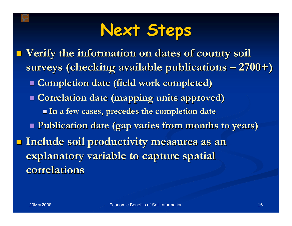#### **Next Steps Next Steps**

 **Verify the information on dates of county soil Verify the information on dates of county soil**  surveys (checking available publications – 2700+) **E** Completion date (field work completed) **E** Correlation date (mapping units approved) **In a few cases, precedes the completion date In a few cases, precedes the completion date Publication date (gap varies from months to years) Publication date (gap varies from months to years)** Include soil productivity measures as an **explanatory variable to capture spatial correlations correlations**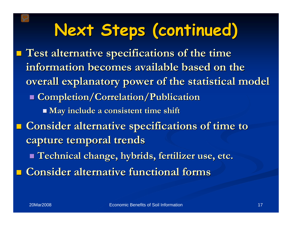# **Next Steps (continued) Next Steps (continued)**

 **Test alternative specifications of the time Test alternative specifications of the time information becomes available based on the information becomes available based on the overall explanatory power of the statistical model overall explanatory power of the statistical model Completion/Correlation/Publication Completion/Correlation/Publication May include a consistent time shift May include a consistent time shift E** Consider alternative specifications of time to **capture temporal trends capture temporal trends Technical change, hybrids, fertilizer use, etc. Technical change, hybrids, fertilizer use, etc. E** Consider alternative functional forms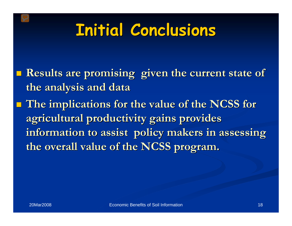## **Initial Conclusions Initial Conclusions**

- **Results are promising given the current state of Results are promising given the current state of the analysis and data the analysis and data**
- **The implications for the value of the NCSS for The implications for the value of the NCSS for**  agricultural productivity gains provides information to assist policy makers in assessing **the overall value of the NCSS program. the overall value of the NCSS program.**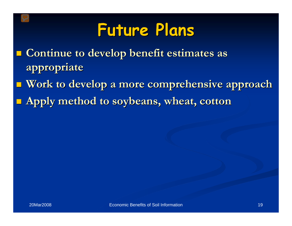#### **Future Plans Future Plans**

- **E** Continue to develop benefit estimates as **appropriate appropriate**
- **Work to develop a more comprehensive approach Work to develop a more comprehensive approach**
- **Apply method to soybeans, wheat, cotton Apply method to soybeans, wheat, cotton**